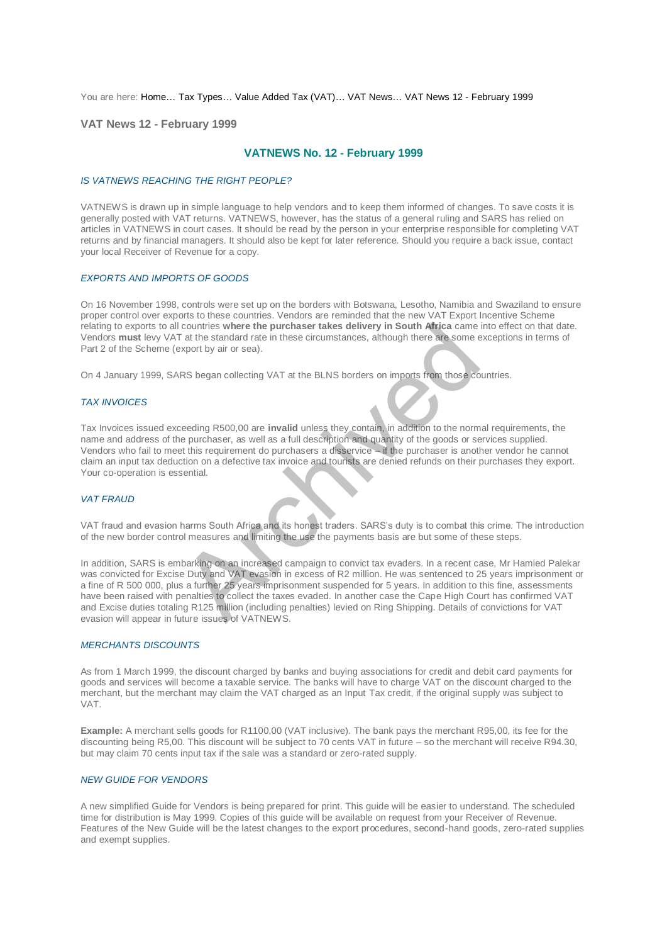You are here: [Home…](http://196.38.114.171/home.asp?pid=1) [Tax Types…](http://196.38.114.171/home.asp?pid=161) [Value Added Tax \(VAT\)…](http://196.38.114.171/home.asp?pid=194) [VAT News…](http://196.38.114.171/home.asp?pid=4722) [VAT News 12 - February 1999](http://196.38.114.171/home.asp?pid=47319) 

**VAT News 12 - February 1999** 

# **VATNEWS No. 12 - February 1999**

## *IS VATNEWS REACHING THE RIGHT PEOPLE?*

VATNEWS is drawn up in simple language to help vendors and to keep them informed of changes. To save costs it is generally posted with VAT returns. VATNEWS, however, has the status of a general ruling and SARS has relied on articles in VATNEWS in court cases. It should be read by the person in your enterprise responsible for completing VAT returns and by financial managers. It should also be kept for later reference. Should you require a back issue, contact your local Receiver of Revenue for a copy.

## *EXPORTS AND IMPORTS OF GOODS*

On 16 November 1998, controls were set up on the borders with Botswana, Lesotho, Namibia and Swaziland to ensure proper control over exports to these countries. Vendors are reminded that the new VAT Export Incentive Scheme relating to exports to all countries **where the purchaser takes delivery in South Africa** came into effect on that date. Vendors **must** levy VAT at the standard rate in these circumstances, although there are some exceptions in terms of Part 2 of the Scheme (export by air or sea).

On 4 January 1999, SARS began collecting VAT at the BLNS borders on imports from those countries.

## *TAX INVOICES*

Tax Invoices issued exceeding R500,00 are **invalid** unless they contain, in addition to the normal requirements, the name and address of the purchaser, as well as a full description and quantity of the goods or services supplied. Vendors who fail to meet this requirement do purchasers a disservice – if the purchaser is another vendor he cannot claim an input tax deduction on a defective tax invoice and tourists are denied refunds on their purchases they export. Your co-operation is essential.

# *VAT FRAUD*

VAT fraud and evasion harms South Africa and its honest traders. SARS's duty is to combat this crime. The introduction of the new border control measures and limiting the use the payments basis are but some of these steps.

In addition, SARS is embarking on an increased campaign to convict tax evaders. In a recent case, Mr Hamied Palekar was convicted for Excise Duty and VAT evasion in excess of R2 million. He was sentenced to 25 years imprisonment or a fine of R 500 000, plus a further 25 years imprisonment suspended for 5 years. In addition to this fine, assessments have been raised with penalties to collect the taxes evaded. In another case the Cape High Court has confirmed VAT and Excise duties totaling R125 million (including penalties) levied on Ring Shipping. Details of convictions for VAT evasion will appear in future issues of VATNEWS. Countries where the purchaser takes delivery in South Africa came<br>
Tat the standard rate in these circumstances, although there are some export by air or sea).<br>
RS began collecting VAT at the BLNS borders on imports from t

#### *MERCHANTS DISCOUNTS*

As from 1 March 1999, the discount charged by banks and buying associations for credit and debit card payments for goods and services will become a taxable service. The banks will have to charge VAT on the discount charged to the merchant, but the merchant may claim the VAT charged as an Input Tax credit, if the original supply was subject to VAT.

**Example:** A merchant sells goods for R1100,00 (VAT inclusive). The bank pays the merchant R95,00, its fee for the discounting being R5,00. This discount will be subject to 70 cents VAT in future – so the merchant will receive R94.30, but may claim 70 cents input tax if the sale was a standard or zero-rated supply.

# *NEW GUIDE FOR VENDORS*

A new simplified Guide for Vendors is being prepared for print. This guide will be easier to understand. The scheduled time for distribution is May 1999. Copies of this guide will be available on request from your Receiver of Revenue. Features of the New Guide will be the latest changes to the export procedures, second-hand goods, zero-rated supplies and exempt supplies.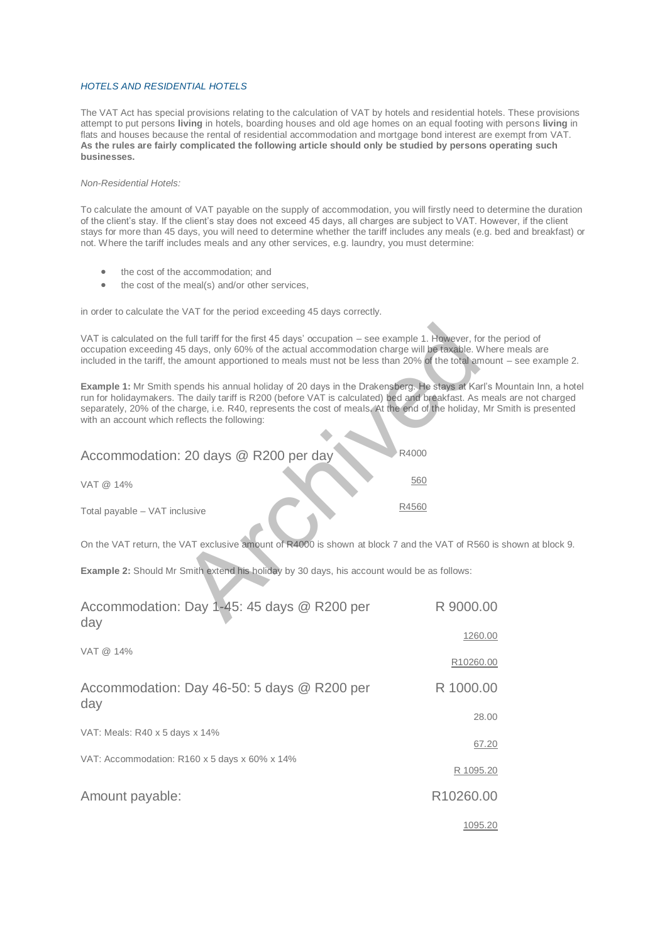## *HOTELS AND RESIDENTIAL HOTELS*

The VAT Act has special provisions relating to the calculation of VAT by hotels and residential hotels. These provisions attempt to put persons **living** in hotels, boarding houses and old age homes on an equal footing with persons **living** in flats and houses because the rental of residential accommodation and mortgage bond interest are exempt from VAT. **As the rules are fairly complicated the following article should only be studied by persons operating such businesses.** 

## *Non-Residential Hotels:*

To calculate the amount of VAT payable on the supply of accommodation, you will firstly need to determine the duration of the client's stay. If the client's stay does not exceed 45 days, all charges are subject to VAT. However, if the client stays for more than 45 days, you will need to determine whether the tariff includes any meals (e.g. bed and breakfast) or not. Where the tariff includes meals and any other services, e.g. laundry, you must determine:

- the cost of the accommodation; and
- the cost of the meal(s) and/or other services,

in order to calculate the VAT for the period exceeding 45 days correctly.

VAT is calculated on the full tariff for the first 45 days' occupation – see example 1. However, for the period of occupation exceeding 45 days, only 60% of the actual accommodation charge will be taxable. Where meals are included in the tariff, the amount apportioned to meals must not be less than 20% of the total amount – see example 2.

**Example 1:** Mr Smith spends his annual holiday of 20 days in the Drakensberg. He stays at Karl's Mountain Inn, a hotel run for holidaymakers. The daily tariff is R200 (before VAT is calculated) bed and breakfast. As meals are not charged separately, 20% of the charge, i.e. R40, represents the cost of meals. At the end of the holiday, Mr Smith is presented with an account which reflects the following:

| VAT is calculated on the full tariff for the first 45 days' occupation – see example 1. However, for<br>occupation exceeding 45 days, only 60% of the actual accommodation charge will be taxable. V<br>included in the tariff, the amount apportioned to meals must not be less than 20% of the total an                                             |         |
|-------------------------------------------------------------------------------------------------------------------------------------------------------------------------------------------------------------------------------------------------------------------------------------------------------------------------------------------------------|---------|
| Example 1: Mr Smith spends his annual holiday of 20 days in the Drakensberg. He stays at Ka<br>run for holidaymakers. The daily tariff is R200 (before VAT is calculated) bed and breakfast. As<br>separately, 20% of the charge, i.e. R40, represents the cost of meals. At the end of the holiday,<br>with an account which reflects the following: |         |
| Accommodation: 20 days @ R200 per day                                                                                                                                                                                                                                                                                                                 | R4000   |
| VAT @ 14%                                                                                                                                                                                                                                                                                                                                             | 560     |
| Total payable - VAT inclusive                                                                                                                                                                                                                                                                                                                         | R4560   |
| On the VAT return, the VAT exclusive amount of R4000 is shown at block 7 and the VAT of R56                                                                                                                                                                                                                                                           |         |
| <b>Example 2:</b> Should Mr Smith extend his holiday by 30 days, his account would be as follows:                                                                                                                                                                                                                                                     |         |
| Accommodation: Day 1-45: 45 days @ R200 per<br>dav                                                                                                                                                                                                                                                                                                    | R 9000. |

On the VAT return, the VAT exclusive amount of R4000 is shown at block 7 and the VAT of R560 is shown at block 9.

| Accommodation: Day 1-45: 45 days @ R200 per<br>day | R 9000.00 |
|----------------------------------------------------|-----------|
|                                                    | 1260.00   |
| VAT @ 14%                                          | R10260.00 |
| Accommodation: Day 46-50: 5 days @ R200 per<br>day | R 1000.00 |
|                                                    | 28.00     |
| VAT: Meals: R40 x 5 days x 14%                     | 67.20     |
| VAT: Accommodation: R160 x 5 days x 60% x 14%      |           |
|                                                    | R 1095.20 |
| Amount payable:                                    | R10260.00 |
|                                                    | 1095.20   |